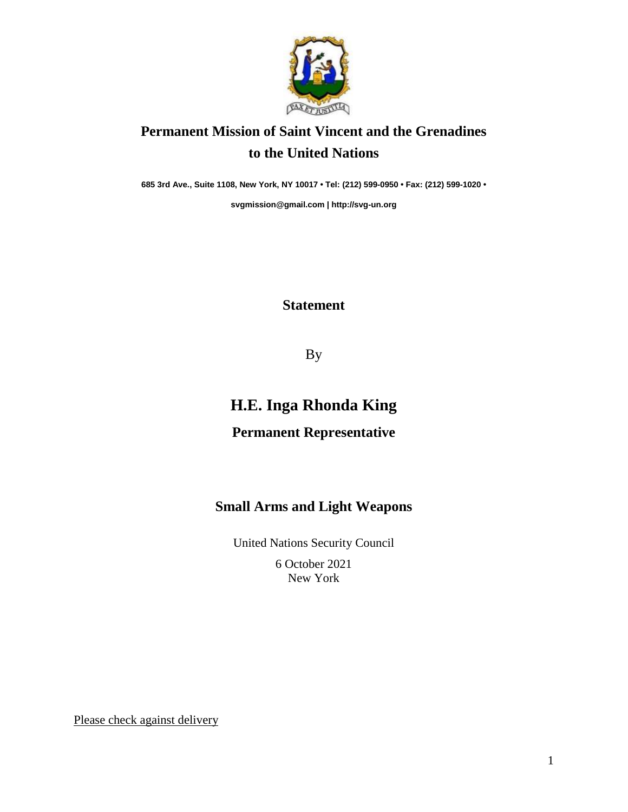

## **Permanent Mission of Saint Vincent and the Grenadines to the United Nations**

**685 3rd Ave., Suite 1108, New York, NY 10017 • Tel: (212) 599-0950 • Fax: (212) 599-1020 •**

**[svgmission@gmail.com](mailto:svgmission@gmail.com) | [http://svg-un.org](http://svg-un.org/)**

#### **Statement**

By

# **H.E. Inga Rhonda King**

#### **Permanent Representative**

### **Small Arms and Light Weapons**

United Nations Security Council

6 October 2021 New York

Please check against delivery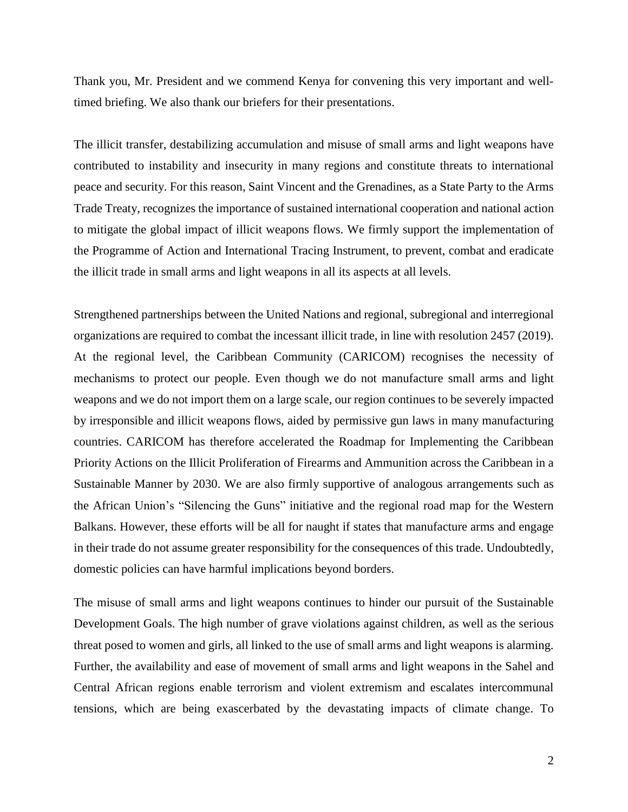Thank you, Mr. President and we commend Kenya for convening this very important and welltimed briefing. We also thank our briefers for their presentations.

The illicit transfer, destabilizing accumulation and misuse of small arms and light weapons have contributed to instability and insecurity in many regions and constitute threats to international peace and security. For this reason, Saint Vincent and the Grenadines, as a State Party to the Arms Trade Treaty, recognizes the importance of sustained international cooperation and national action to mitigate the global impact of illicit weapons flows. We firmly support the implementation of the Programme of Action and International Tracing Instrument, to prevent, combat and eradicate the illicit trade in small arms and light weapons in all its aspects at all levels.

Strengthened partnerships between the United Nations and regional, subregional and interregional organizations are required to combat the incessant illicit trade, in line with resolution 2457 (2019). At the regional level, the Caribbean Community (CARICOM) recognises the necessity of mechanisms to protect our people. Even though we do not manufacture small arms and light weapons and we do not import them on a large scale, our region continues to be severely impacted by irresponsible and illicit weapons flows, aided by permissive gun laws in many manufacturing countries. CARICOM has therefore accelerated the Roadmap for Implementing the Caribbean Priority Actions on the Illicit Proliferation of Firearms and Ammunition across the Caribbean in a Sustainable Manner by 2030. We are also firmly supportive of analogous arrangements such as the African Union's "Silencing the Guns" initiative and the regional road map for the Western Balkans. However, these efforts will be all for naught if states that manufacture arms and engage in their trade do not assume greater responsibility for the consequences of this trade. Undoubtedly, domestic policies can have harmful implications beyond borders.

The misuse of small arms and light weapons continues to hinder our pursuit of the Sustainable Development Goals. The high number of grave violations against children, as well as the serious threat posed to women and girls, all linked to the use of small arms and light weapons is alarming. Further, the availability and ease of movement of small arms and light weapons in the Sahel and Central African regions enable terrorism and violent extremism and escalates intercommunal tensions, which are being exascerbated by the devastating impacts of climate change. To